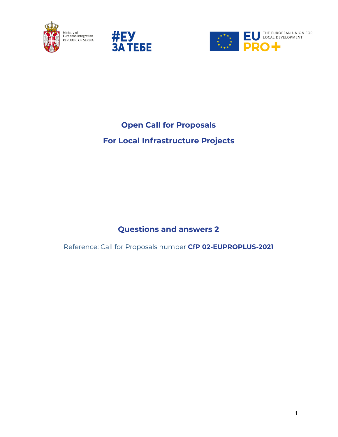





# **Open Call for Proposals**

# **For Local Infrastructure Projects**

# **Questions and answers 2**

Reference: Call for Proposals number **CfP 02-EUPROPLUS-2021**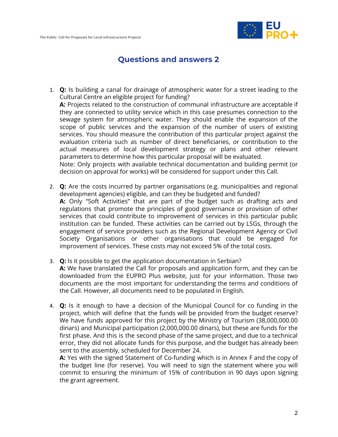

## **Questions and answers 2**

1. **Q:** Is building a canal for drainage of atmospheric water for a street leading to the Cultural Centre an eligible project for funding?

**A:** Projects related to the construction of communal infrastructure are acceptable if they are connected to utility service which in this case presumes connection to the sewage system for atmospheric water. They should enable the expansion of the scope of public services and the expansion of the number of users of existing services. You should measure the contribution of this particular project against the evaluation criteria such as number of direct beneficiaries, or contribution to the actual measures of local development strategy or plans and other relevant parameters to determine how this particular proposal will be evaluated.

Note: Only projects with available technical documentation and building permit (or decision on approval for works) will be considered for support under this Call.

- 2. **Q:** Are the costs incurred by partner organisations (e.g. municipalities and regional development agencies) eligible, and can they be budgeted and funded? **A:** Only "Soft Activities" that are part of the budget such as drafting acts and regulations that promote the principles of good governance or provision of other services that could contribute to improvement of services in this particular public institution can be funded. These activities can be carried out by LSGs, through the engagement of service providers such as the Regional Development Agency or Civil Society Organisations or other organisations that could be engaged for improvement of services. These costs may not exceed 5% of the total costs.
- 3. **Q:** Is it possible to get the application documentation in Serbian? **A:** We have translated the Call for proposals and application form, and they can be downloaded from the EUPRO Plus website, just for your information. Those two documents are the most important for understanding the terms and conditions of the Call. However, all documents need to be populated in English.
- 4. **Q:** Is it enough to have a decision of the Municipal Council for co funding in the project, which will define that the funds will be provided from the budget reserve? We have funds approved for this project by the Ministry of Tourism (38,000,000.00 dinars) and Municipal participation (2,000,000.00 dinars), but these are funds for the first phase. And this is the second phase of the same project, and due to a technical error, they did not allocate funds for this purpose, and the budget has already been sent to the assembly, scheduled for December 24.

**A:** Yes with the signed Statement of Co-funding which is in Annex F and the copy of the budget line (for reserve). You will need to sign the statement where you will commit to ensuring the minimum of 15% of contribution in 90 days upon signing the grant agreement.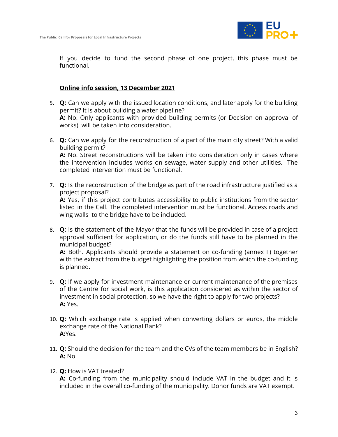

If you decide to fund the second phase of one project, this phase must be functional.

### **Online info session, 13 December 2021**

- 5. **Q:** Can we apply with the issued location conditions, and later apply for the building permit? It is about building a water pipeline? **A:** No. Only applicants with provided building permits (or Decision on approval of works) will be taken into consideration.
- 6. **Q:** Can we apply for the reconstruction of a part of the main city street? With a valid building permit?

**A:** No. Street reconstructions will be taken into consideration only in cases where the intervention includes works on sewage, water supply and other utilities. The completed intervention must be functional.

7. **Q:** Is the reconstruction of the bridge as part of the road infrastructure justified as a project proposal?

**A:** Yes, if this project contributes accessibility to public institutions from the sector listed in the Call. The completed intervention must be functional. Access roads and wing walls to the bridge have to be included.

8. **Q:** Is the statement of the Mayor that the funds will be provided in case of a project approval sufficient for application, or do the funds still have to be planned in the municipal budget?

**A:** Both. Applicants should provide a statement on co-funding (annex F) together with the extract from the budget highlighting the position from which the co-funding is planned.

- 9. **Q:** If we apply for investment maintenance or current maintenance of the premises of the Centre for social work, is this application considered as within the sector of investment in social protection, so we have the right to apply for two projects? **A:** Yes.
- 10. **Q:** Which exchange rate is applied when converting dollars or euros, the middle exchange rate of the National Bank? **A:**Yes.
- 11. **Q:** Should the decision for the team and the CVs of the team members be in English? **A:** No.
- 12. **Q:** How is VAT treated?

**A:** Co-funding from the municipality should include VAT in the budget and it is included in the overall co-funding of the municipality. Donor funds are VAT exempt.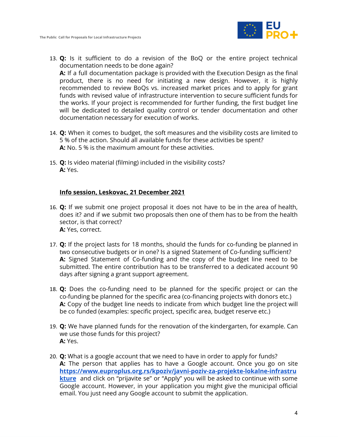

- 13. **Q:** Is it sufficient to do a revision of the BoQ or the entire project technical documentation needs to be done again? **A:** If a full documentation package is provided with the Execution Design as the final product, there is no need for initiating a new design. However, it is highly recommended to review BoQs vs. increased market prices and to apply for grant funds with revised value of infrastructure intervention to secure sufficient funds for the works. If your project is recommended for further funding, the first budget line will be dedicated to detailed quality control or tender documentation and other documentation necessary for execution of works.
- 14. **Q:** When it comes to budget, the soft measures and the visibility costs are limited to 5 % of the action. Should all available funds for these activities be spent? **A:** No. 5 % is the maximum amount for these activities.
- 15. **Q:** Is video material (filming) included in the visibility costs? **A:** Yes.

## **Info session, Leskovac, 21 December 2021**

- 16. **Q:** If we submit one project proposal it does not have to be in the area of health, does it? and if we submit two proposals then one of them has to be from the health sector, is that correct? **A:** Yes, correct.
- 17. **Q:** If the project lasts for 18 months, should the funds for co-funding be planned in two consecutive budgets or in one? Is a signed Statement of Co-funding sufficient? **A:** Signed Statement of Co-funding and the copy of the budget line need to be submitted. The entire contribution has to be transferred to a dedicated account 90 days after signing a grant support agreement.
- 18. **Q:** Does the co-funding need to be planned for the specific project or can the co-funding be planned for the specific area (co-financing projects with donors etc.) **A:** Copy of the budget line needs to indicate from which budget line the project will be co funded (examples: specific project, specific area, budget reserve etc.)
- 19. **Q:** We have planned funds for the renovation of the kindergarten, for example. Can we use those funds for this project? **A:** Yes.
- 20. **Q:** What is a google account that we need to have in order to apply for funds? **A:** The person that applies has to have a Google account. Once you go on site **[https://www.euproplus.org.rs/kpoziv/javni-poziv-za-projekte-lokalne-infrastru](https://www.euproplus.org.rs/kpoziv/javni-poziv-za-projekte-lokalne-infrastrukture) [kture](https://www.euproplus.org.rs/kpoziv/javni-poziv-za-projekte-lokalne-infrastrukture)** and click on "prijavite se" or "Apply" you will be asked to continue with some Google account. However, in your application you might give the municipal official email. You just need any Google account to submit the application.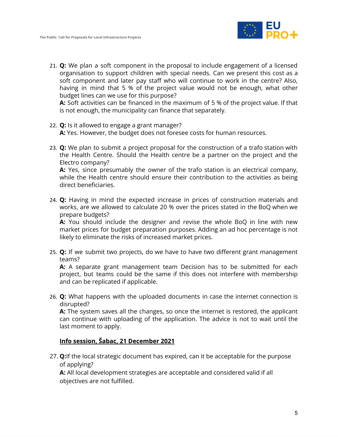

21. **Q:** We plan a soft component in the proposal to include engagement of a licensed organisation to support children with special needs. Can we present this cost as a soft component and later pay staff who will continue to work in the centre? Also, having in mind that 5 % of the project value would not be enough, what other budget lines can we use for this purpose?

**A:** Soft activities can be financed in the maximum of 5 % of the project value. If that is not enough, the municipality can finance that separately.

- 22. **Q:** Is it allowed to engage a grant manager? **A:** Yes. However, the budget does not foresee costs for human resources.
- 23. **Q:** We plan to submit a project proposal for the construction of a trafo station with the Health Centre. Should the Health centre be a partner on the project and the Electro company?

**A:** Yes, since presumably the owner of the trafo station is an electrical company, while the Health centre should ensure their contribution to the activities as being direct beneficiaries.

24. **Q:** Having in mind the expected increase in prices of construction materials and works, are we allowed to calculate 20 % over the prices stated in the BoQ when we prepare budgets?

**A:** You should include the designer and revise the whole BoQ in line with new market prices for budget preparation purposes. Adding an ad hoc percentage is not likely to eliminate the risks of increased market prices.

25. **Q:** If we submit two projects, do we have to have two different grant management teams?

**A:** A separate grant management team Decision has to be submitted for each project, but teams could be the same if this does not interfere with membership and can be replicated if applicable.

26. **Q:** What happens with the uploaded documents in case the internet connection is disrupted?

**A:** The system saves all the changes, so once the internet is restored, the applicant can continue with uploading of the application. The advice is not to wait until the last moment to apply.

## **Info session, Šabac, 21 December 2021**

27. **Q:**If the local strategic document has expired, can it be acceptable for the purpose of applying?

**A:** All local development strategies are acceptable and considered valid if all objectives are not fulfilled.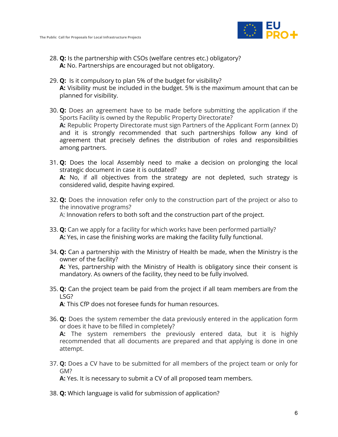

- 28. **Q:** Is the partnership with CSOs (welfare centres etc.) obligatory? **A:** No. Partnerships are encouraged but not obligatory.
- 29. **Q:** Is it compulsory to plan 5% of the budget for visibility? **A:** Visibility must be included in the budget. 5% is the maximum amount that can be planned for visibility.
- 30. **Q:** Does an agreement have to be made before submitting the application if the Sports Facility is owned by the Republic Property Directorate? **A:** Republic Property Directorate must sign Partners of the Applicant Form (annex D) and it is strongly recommended that such partnerships follow any kind of agreement that precisely defines the distribution of roles and responsibilities among partners.
- 31. **Q:** Does the local Assembly need to make a decision on prolonging the local strategic document in case it is outdated? **A:** No, if all objectives from the strategy are not depleted, such strategy is considered valid, despite having expired.
- 32. **Q:** Does the innovation refer only to the construction part of the project or also to the innovative programs? A: Innovation refers to both soft and the construction part of the project.
- 33. **Q:** Can we apply for a facility for which works have been performed partially? **A:** Yes, in case the finishing works are making the facility fully functional.
- 34. **Q:** Can a partnership with the Ministry of Health be made, when the Ministry is the owner of the facility? **A:** Yes, partnership with the Ministry of Health is obligatory since their consent is mandatory. As owners of the facility, they need to be fully involved.
- 35. **Q:** Can the project team be paid from the project if all team members are from the LSG?

**A**: This CfP does not foresee funds for human resources.

36. **Q:** Does the system remember the data previously entered in the application form or does it have to be filled in completely?

**A:** The system remembers the previously entered data, but it is highly recommended that all documents are prepared and that applying is done in one attempt.

37. **Q:** Does a CV have to be submitted for all members of the project team or only for GM?

**A:** Yes. It is necessary to submit a CV of all proposed team members.

38. **Q:** Which language is valid for submission of application?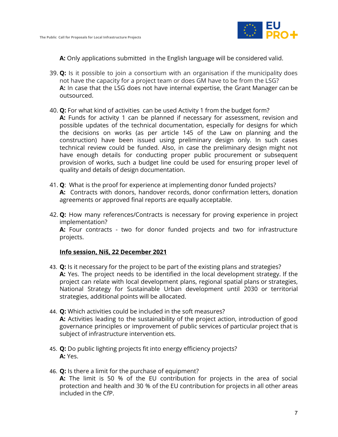

**A:** Only applications submitted in the English language will be considered valid.

- 39. **Q:** Is it possible to join a consortium with an organisation if the municipality does not have the capacity for a project team or does GM have to be from the LSG? **A:** In case that the LSG does not have internal expertise, the Grant Manager can be outsourced.
- 40. **Q:** For what kind of activities can be used Activity 1 from the budget form?
	- **A:** Funds for activity 1 can be planned if necessary for assessment, revision and possible updates of the technical documentation, especially for designs for which the decisions on works (as per article 145 of the Law on planning and the construction) have been issued using preliminary design only. In such cases technical review could be funded. Also, in case the preliminary design might not have enough details for conducting proper public procurement or subsequent provision of works, such a budget line could be used for ensuring proper level of quality and details of design documentation.
- 41. **Q**: What is the proof for experience at implementing donor funded projects? **A:** Contracts with donors, handover records, donor confirmation letters, donation agreements or approved final reports are equally acceptable.
- 42. **Q:** How many references/Contracts is necessary for proving experience in project implementation? **A:** Four contracts - two for donor funded projects and two for infrastructure projects.

### **Info session, Niš, 22 December 2021**

- 43. **Q:** Is it necessary for the project to be part of the existing plans and strategies? **A:** Yes. The project needs to be identified in the local development strategy. If the project can relate with local development plans, regional spatial plans or strategies, National Strategy for Sustainable Urban development until 2030 or territorial strategies, additional points will be allocated.
- 44. **Q:** Which activities could be included in the soft measures? **A:** Activities leading to the sustainability of the project action, introduction of good governance principles or improvement of public services of particular project that is subject of infrastructure intervention ets.
- 45. **Q:** Do public lighting projects fit into energy efficiency projects? **A:** Yes.
- 46. **Q:** Is there a limit for the purchase of equipment? **A:** The limit is 50 % of the EU contribution for projects in the area of social protection and health and 30 % of the EU contribution for projects in all other areas included in the CfP.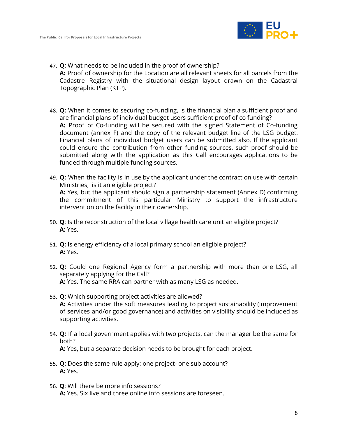

- 47. **Q:** What needs to be included in the proof of ownership? **A:** Proof of ownership for the Location are all relevant sheets for all parcels from the Cadastre Registry with the situational design layout drawn on the Cadastral Topographic Plan (KTP).
- 48. **Q:** When it comes to securing co-funding, is the financial plan a sufficient proof and are financial plans of individual budget users sufficient proof of co funding? **A:** Proof of Co-funding will be secured with the signed Statement of Co-funding document (annex F) and the copy of the relevant budget line of the LSG budget. Financial plans of individual budget users can be submitted also. If the applicant could ensure the contribution from other funding sources, such proof should be submitted along with the application as this Call encourages applications to be funded through multiple funding sources.
- 49. **Q:** When the facility is in use by the applicant under the contract on use with certain Ministries, is it an eligible project? **A:** Yes, but the applicant should sign a partnership statement (Annex D) confirming the commitment of this particular Ministry to support the infrastructure intervention on the facility in their ownership.
- 50. **Q**: Is the reconstruction of the local village health care unit an eligible project? **A:** Yes.
- 51. **Q:** Is energy efficiency of a local primary school an eligible project? **A:** Yes.
- 52. **Q:** Could one Regional Agency form a partnership with more than one LSG, all separately applying for the Call? **A:** Yes. The same RRA can partner with as many LSG as needed.
- 53. **Q:** Which supporting project activities are allowed? **A:** Activities under the soft measures leading to project sustainability (improvement of services and/or good governance) and activities on visibility should be included as supporting activities.
- 54. **Q:** If a local government applies with two projects, can the manager be the same for both? **A:** Yes, but a separate decision needs to be brought for each project.
- 55. **Q:** Does the same rule apply: one project- one sub account? **A:** Yes.
- 56. **Q**: Will there be more info sessions? **A:** Yes. Six live and three online info sessions are foreseen.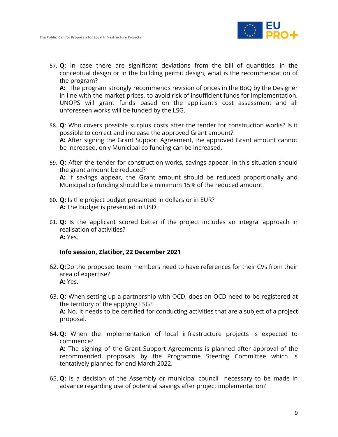

57. **Q**: In case there are significant deviations from the bill of quantities, in the conceptual design or in the building permit design, what is the recommendation of the program?

**A:** The program strongly recommends revision of prices in the BoQ by the Designer in line with the market prices, to avoid risk of insufficient funds for implementation. UNOPS will grant funds based on the applicant's cost assessment and all unforeseen works will be funded by the LSG.

- 58. **Q**: Who covers possible surplus costs after the tender for construction works? Is it possible to correct and increase the approved Grant amount? **A:** After signing the Grant Support Agreement, the approved Grant amount cannot be increased, only Municipal co funding can be increased.
- 59. **Q:** After the tender for construction works, savings appear. In this situation should the grant amount be reduced? **A:** If savings appear, the Grant amount should be reduced proportionally and Municipal co funding should be a minimum 15% of the reduced amount.
- 60. **Q:** Is the project budget presented in dollars or in EUR? **A:** The budget is presented in USD.
- 61. **Q:** Is the applicant scored better if the project includes an integral approach in realisation of activities? **A:** Yes.

### **Info session, Zlatibor, 22 December 2021**

- 62. **Q:**Do the proposed team members need to have references for their CVs from their area of expertise? **A:** Yes.
- 63. **Q:** When setting up a partnership with OCD, does an OCD need to be registered at the territory of the applying LSG? **A:** No. It needs to be certified for conducting activities that are a subject of a project proposal.
- 64. **Q:** When the implementation of local infrastructure projects is expected to commence? **A:** The signing of the Grant Support Agreements is planned after approval of the recommended proposals by the Programme Steering Committee which is tentatively planned for end March 2022.
- 65. **Q:** Is a decision of the Assembly or municipal council necessary to be made in advance regarding use of potential savings after project implementation?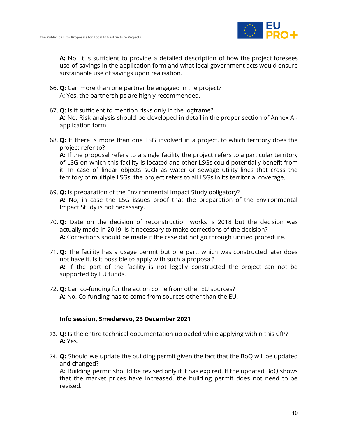

**A:** No. It is sufficient to provide a detailed description of how the project foresees use of savings in the application form and what local government acts would ensure sustainable use of savings upon realisation.

- 66. **Q:** Can more than one partner be engaged in the project? A: Yes, the partnerships are highly recommended.
- 67. **Q:** Is it sufficient to mention risks only in the logframe? **A:** No. Risk analysis should be developed in detail in the proper section of Annex A application form.
- 68. **Q:** If there is more than one LSG involved in a project, to which territory does the project refer to? **A:** If the proposal refers to a single facility the project refers to a particular territory of LSG on which this facility is located and other LSGs could potentially benefit from it. In case of linear objects such as water or sewage utility lines that cross the territory of multiple LSGs, the project refers to all LSGs in its territorial coverage.
- 69. **Q:** Is preparation of the Environmental Impact Study obligatory? **A:** No, in case the LSG issues proof that the preparation of the Environmental Impact Study is not necessary.
- 70. **Q:** Date on the decision of reconstruction works is 2018 but the decision was actually made in 2019. Is it necessary to make corrections of the decision? **A:** Corrections should be made if the case did not go through unified procedure.
- 71. **Q:** The facility has a usage permit but one part, which was constructed later does not have it. Is it possible to apply with such a proposal? **A:** If the part of the facility is not legally constructed the project can not be supported by EU funds.
- 72. **Q:** Can co-funding for the action come from other EU sources? **A:** No. Co-funding has to come from sources other than the EU.

## **Info session, Smederevo, 23 December 2021**

- 73. **Q:** Is the entire technical documentation uploaded while applying within this CfP? **A:** Yes.
- 74. **Q:** Should we update the building permit given the fact that the BoQ will be updated and changed?

**A:** Building permit should be revised only if it has expired. If the updated BoQ shows that the market prices have increased, the building permit does not need to be revised.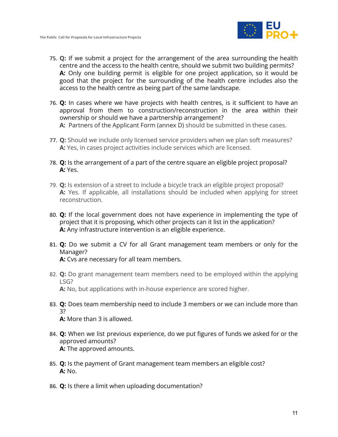

- 75. **Q:** If we submit a project for the arrangement of the area surrounding the health centre and the access to the health centre, should we submit two building permits? **A:** Only one building permit is eligible for one project application, so it would be good that the project for the surrounding of the health centre includes also the access to the health centre as being part of the same landscape.
- 76. **Q:** In cases where we have projects with health centres, is it sufficient to have an approval from them to construction/reconstruction in the area within their ownership or should we have a partnership arrangement? **A:** Partners of the Applicant Form (annex D) should be submitted in these cases.
- 77. **Q:** Should we include only licensed service providers when we plan soft measures? **A:** Yes, in cases project activities include services which are licensed.
- 78. **Q:** Is the arrangement of a part of the centre square an eligible project proposal? **A:** Yes.
- 79. **Q:** Is extension of a street to include a bicycle track an eligible project proposal? **A:** Yes. If applicable, all installations should be included when applying for street reconstruction.
- 80. **Q:** If the local government does not have experience in implementing the type of project that it is proposing, which other projects can it list in the application? **A:** Any infrastructure intervention is an eligible experience.
- 81. **Q:** Do we submit a CV for all Grant management team members or only for the Manager?

**A:** Cvs are necessary for all team members.

- 82. **Q:** Do grant management team members need to be employed within the applying LSG? **A:** No, but applications with in-house experience are scored higher.
- 83. **Q:** Does team membership need to include 3 members or we can include more than 3?

**A:** More than 3 is allowed.

- 84. **Q:** When we list previous experience, do we put figures of funds we asked for or the approved amounts? **A:** The approved amounts.
- 85. **Q:** Is the payment of Grant management team members an eligible cost? **A:** No.
- 86. **Q:** Is there a limit when uploading documentation?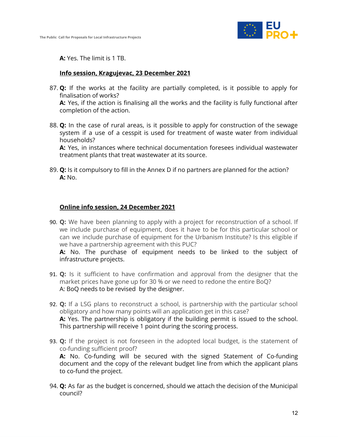

**A:** Yes. The limit is 1 TB.

#### **Info session, Kragujevac, 23 December 2021**

87. **Q:** If the works at the facility are partially completed, is it possible to apply for finalisation of works? **A:** Yes, if the action is finalising all the works and the facility is fully functional after

completion of the action.

88. **Q:** In the case of rural areas, is it possible to apply for construction of the sewage system if a use of a cesspit is used for treatment of waste water from individual households?

**A:** Yes, in instances where technical documentation foresees individual wastewater treatment plants that treat wastewater at its source.

89. **Q:** Is it compulsory to fill in the Annex D if no partners are planned for the action? **A:** No.

#### **Online info session, 24 December 2021**

90. **Q:** We have been planning to apply with a project for reconstruction of a school. If we include purchase of equipment, does it have to be for this particular school or can we include purchase of equipment for the Urbanism Institute? Is this eligible if we have a partnership agreement with this PUC?

**A:** No. The purchase of equipment needs to be linked to the subject of infrastructure projects.

- 91. **Q:** Is it sufficient to have confirmation and approval from the designer that the market prices have gone up for 30 % or we need to redone the entire BoQ? A: BoQ needs to be revised by the designer.
- 92. **Q:** If a LSG plans to reconstruct a school, is partnership with the particular school obligatory and how many points will an application get in this case? **A:** Yes. The partnership is obligatory if the building permit is issued to the school. This partnership will receive 1 point during the scoring process.
- 93. **Q:** If the project is not foreseen in the adopted local budget, is the statement of co-funding sufficient proof?

**A:** No. Co-funding will be secured with the signed Statement of Co-funding document and the copy of the relevant budget line from which the applicant plans to co-fund the project.

94. **Q:** As far as the budget is concerned, should we attach the decision of the Municipal council?